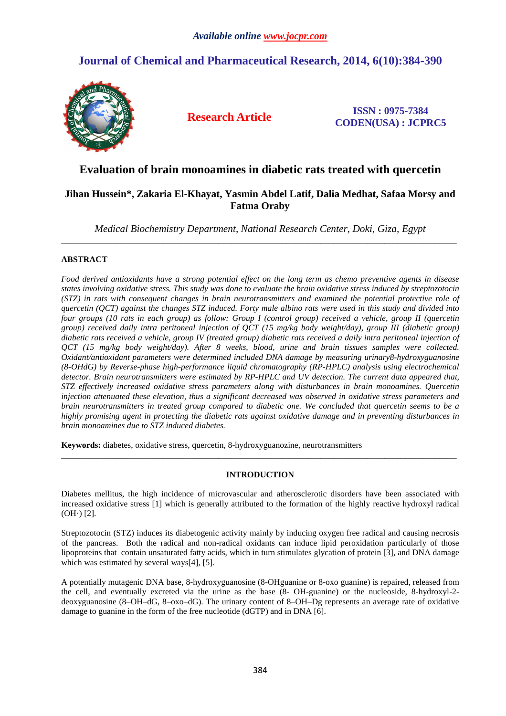# **Journal of Chemical and Pharmaceutical Research, 2014, 6(10):384-390**



**Research Article ISSN : 0975-7384 CODEN(USA) : JCPRC5**

# **Evaluation of brain monoamines in diabetic rats treated with quercetin**

## **Jihan Hussein\*, Zakaria El-Khayat, Yasmin Abdel Latif, Dalia Medhat, Safaa Morsy and Fatma Oraby**

*Medical Biochemistry Department, National Research Center, Doki, Giza, Egypt*  \_\_\_\_\_\_\_\_\_\_\_\_\_\_\_\_\_\_\_\_\_\_\_\_\_\_\_\_\_\_\_\_\_\_\_\_\_\_\_\_\_\_\_\_\_\_\_\_\_\_\_\_\_\_\_\_\_\_\_\_\_\_\_\_\_\_\_\_\_\_\_\_\_\_\_\_\_\_\_\_\_\_\_\_\_\_\_\_\_\_\_\_\_

## **ABSTRACT**

*Food derived antioxidants have a strong potential effect on the long term as chemo preventive agents in disease states involving oxidative stress. This study was done to evaluate the brain oxidative stress induced by streptozotocin (STZ) in rats with consequent changes in brain neurotransmitters and examined the potential protective role of quercetin (QCT) against the changes STZ induced. Forty male albino rats were used in this study and divided into four groups (10 rats in each group) as follow: Group I (control group) received a vehicle, group II (quercetin group) received daily intra peritoneal injection of QCT (15 mg/kg body weight/day), group III (diabetic group) diabetic rats received a vehicle, group IV (treated group) diabetic rats received a daily intra peritoneal injection of QCT (15 mg/kg body weight/day). After 8 weeks, blood, urine and brain tissues samples were collected. Oxidant/antioxidant parameters were determined included DNA damage by measuring urinary8-hydroxyguanosine (8-OHdG) by Reverse-phase high-performance liquid chromatography (RP-HPLC) analysis using electrochemical detector. Brain neurotransmitters were estimated by RP-HPLC and UV detection. The current data appeared that, STZ effectively increased oxidative stress parameters along with disturbances in brain monoamines. Quercetin injection attenuated these elevation, thus a significant decreased was observed in oxidative stress parameters and brain neurotransmitters in treated group compared to diabetic one. We concluded that quercetin seems to be a highly promising agent in protecting the diabetic rats against oxidative damage and in preventing disturbances in brain monoamines due to STZ induced diabetes.* 

**Keywords:** diabetes, oxidative stress, quercetin, 8-hydroxyguanozine, neurotransmitters

## **INTRODUCTION**

\_\_\_\_\_\_\_\_\_\_\_\_\_\_\_\_\_\_\_\_\_\_\_\_\_\_\_\_\_\_\_\_\_\_\_\_\_\_\_\_\_\_\_\_\_\_\_\_\_\_\_\_\_\_\_\_\_\_\_\_\_\_\_\_\_\_\_\_\_\_\_\_\_\_\_\_\_\_\_\_\_\_\_\_\_\_\_\_\_\_\_\_\_

Diabetes mellitus, the high incidence of microvascular and atherosclerotic disorders have been associated with increased oxidative stress [1] which is generally attributed to the formation of the highly reactive hydroxyl radical  $(OH·) [2]$ .

Streptozotocin (STZ) induces its diabetogenic activity mainly by inducing oxygen free radical and causing necrosis of the pancreas. Both the radical and non-radical oxidants can induce lipid peroxidation particularly of those lipoproteins that contain unsaturated fatty acids, which in turn stimulates glycation of protein [3], and DNA damage which was estimated by several ways[4], [5].

A potentially mutagenic DNA base, 8-hydroxyguanosine (8-OHguanine or 8-oxo guanine) is repaired, released from the cell, and eventually excreted via the urine as the base (8- OH-guanine) or the nucleoside, 8-hydroxyl-2 deoxyguanosine (8–OH–dG, 8–oxo–dG). The urinary content of 8–OH–Dg represents an average rate of oxidative damage to guanine in the form of the free nucleotide (dGTP) and in DNA [6].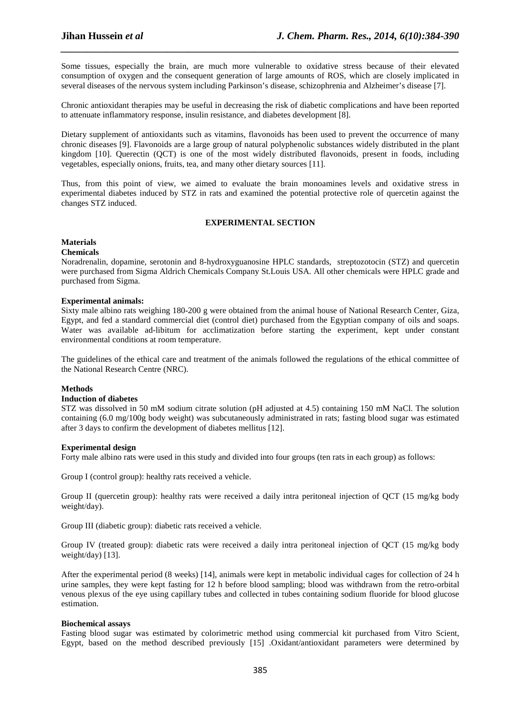Some tissues, especially the brain, are much more vulnerable to oxidative stress because of their elevated consumption of oxygen and the consequent generation of large amounts of ROS, which are closely implicated in several diseases of the nervous system including Parkinson's disease, schizophrenia and Alzheimer's disease [7].

*\_\_\_\_\_\_\_\_\_\_\_\_\_\_\_\_\_\_\_\_\_\_\_\_\_\_\_\_\_\_\_\_\_\_\_\_\_\_\_\_\_\_\_\_\_\_\_\_\_\_\_\_\_\_\_\_\_\_\_\_\_\_\_\_\_\_\_\_\_\_\_\_\_\_\_\_\_\_*

Chronic antioxidant therapies may be useful in decreasing the risk of diabetic complications and have been reported to attenuate inflammatory response, insulin resistance, and diabetes development [8].

Dietary supplement of antioxidants such as vitamins, flavonoids has been used to prevent the occurrence of many chronic diseases [9]. Flavonoids are a large group of natural polyphenolic substances widely distributed in the plant kingdom [10]. Querectin (QCT) is one of the most widely distributed flavonoids, present in foods, including vegetables, especially onions, fruits, tea, and many other dietary sources [11].

Thus, from this point of view, we aimed to evaluate the brain monoamines levels and oxidative stress in experimental diabetes induced by STZ in rats and examined the potential protective role of quercetin against the changes STZ induced.

## **EXPERIMENTAL SECTION**

## **Materials**

### **Chemicals**

Noradrenalin, dopamine, serotonin and 8-hydroxyguanosine HPLC standards, streptozotocin (STZ) and quercetin were purchased from Sigma Aldrich Chemicals Company St.Louis USA. All other chemicals were HPLC grade and purchased from Sigma.

## **Experimental animals:**

Sixty male albino rats weighing 180-200 g were obtained from the animal house of National Research Center, Giza, Egypt, and fed a standard commercial diet (control diet) purchased from the Egyptian company of oils and soaps. Water was available ad-libitum for acclimatization before starting the experiment, kept under constant environmental conditions at room temperature.

The guidelines of the ethical care and treatment of the animals followed the regulations of the ethical committee of the National Research Centre (NRC).

## **Methods**

## **Induction of diabetes**

STZ was dissolved in 50 mM sodium citrate solution (pH adjusted at 4.5) containing 150 mM NaCl. The solution containing (6.0 mg/100g body weight) was subcutaneously administrated in rats; fasting blood sugar was estimated after 3 days to confirm the development of diabetes mellitus [12].

#### **Experimental design**

Forty male albino rats were used in this study and divided into four groups (ten rats in each group) as follows:

Group I (control group): healthy rats received a vehicle.

Group II (quercetin group): healthy rats were received a daily intra peritoneal injection of QCT (15 mg/kg body weight/day).

Group III (diabetic group): diabetic rats received a vehicle.

Group IV (treated group): diabetic rats were received a daily intra peritoneal injection of QCT (15 mg/kg body weight/day) [13].

After the experimental period (8 weeks) [14], animals were kept in metabolic individual cages for collection of 24 h urine samples, they were kept fasting for 12 h before blood sampling; blood was withdrawn from the retro-orbital venous plexus of the eye using capillary tubes and collected in tubes containing sodium fluoride for blood glucose estimation.

#### **Biochemical assays**

Fasting blood sugar was estimated by colorimetric method using commercial kit purchased from Vitro Scient, Egypt, based on the method described previously [15] .Oxidant/antioxidant parameters were determined by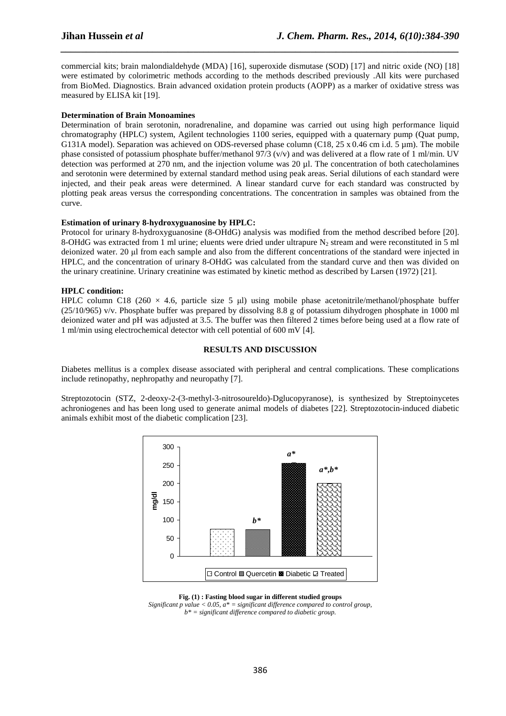commercial kits; brain malondialdehyde (MDA) [16], superoxide dismutase (SOD) [17] and nitric oxide (NO) [18] were estimated by colorimetric methods according to the methods described previously .All kits were purchased from BioMed. Diagnostics. Brain advanced oxidation protein products (AOPP) as a marker of oxidative stress was measured by ELISA kit [19].

*\_\_\_\_\_\_\_\_\_\_\_\_\_\_\_\_\_\_\_\_\_\_\_\_\_\_\_\_\_\_\_\_\_\_\_\_\_\_\_\_\_\_\_\_\_\_\_\_\_\_\_\_\_\_\_\_\_\_\_\_\_\_\_\_\_\_\_\_\_\_\_\_\_\_\_\_\_\_*

## **Determination of Brain Monoamines**

Determination of brain serotonin, noradrenaline, and dopamine was carried out using high performance liquid chromatography (HPLC) system, Agilent technologies 1100 series, equipped with a quaternary pump (Quat pump, G131A model). Separation was achieved on ODS-reversed phase column (C18, 25 x 0.46 cm i.d. 5 µm). The mobile phase consisted of potassium phosphate buffer/methanol  $97/3$  (v/v) and was delivered at a flow rate of 1 ml/min. UV detection was performed at 270 nm, and the injection volume was 20 µl. The concentration of both catecholamines and serotonin were determined by external standard method using peak areas. Serial dilutions of each standard were injected, and their peak areas were determined. A linear standard curve for each standard was constructed by plotting peak areas versus the corresponding concentrations. The concentration in samples was obtained from the curve.

### **Estimation of urinary 8-hydroxyguanosine by HPLC:**

Protocol for urinary 8-hydroxyguanosine (8-OHdG) analysis was modified from the method described before [20]. 8-OHdG was extracted from 1 ml urine; eluents were dried under ultrapure  $N_2$  stream and were reconstituted in 5 ml deionized water. 20 µl from each sample and also from the different concentrations of the standard were injected in HPLC, and the concentration of urinary 8-OHdG was calculated from the standard curve and then was divided on the urinary creatinine. Urinary creatinine was estimated by kinetic method as described by Larsen (1972) [21].

### **HPLC condition:**

HPLC column C18 (260  $\times$  4.6, particle size 5 µl) using mobile phase acetonitrile/methanol/phosphate buffer (25/10/965) v/v. Phosphate buffer was prepared by dissolving 8.8 g of potassium dihydrogen phosphate in 1000 ml deionized water and pH was adjusted at 3.5. The buffer was then filtered 2 times before being used at a flow rate of 1 ml/min using electrochemical detector with cell potential of 600 mV [4].

### **RESULTS AND DISCUSSION**

Diabetes mellitus is a complex disease associated with peripheral and central complications. These complications include retinopathy, nephropathy and neuropathy [7].

Streptozotocin (STZ, 2-deoxy-2-(3-methyl-3-nitrosoureldo)-Dglucopyranose), is synthesized by Streptoinycetes achroniogenes and has been long used to generate animal models of diabetes [22]. Streptozotocin-induced diabetic animals exhibit most of the diabetic complication [23].



#### **Fig. (1) : Fasting blood sugar in different studied groups**

*Significant p value < 0.05, a\* = significant difference compared to control group, b\* = significant difference compared to diabetic group.*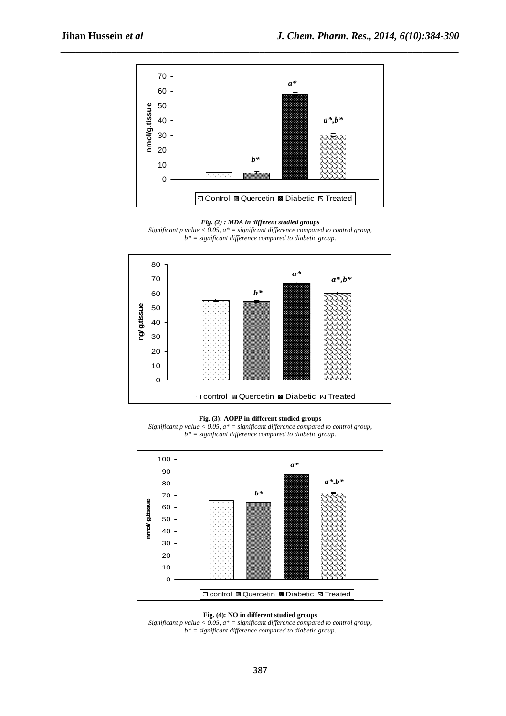

*\_\_\_\_\_\_\_\_\_\_\_\_\_\_\_\_\_\_\_\_\_\_\_\_\_\_\_\_\_\_\_\_\_\_\_\_\_\_\_\_\_\_\_\_\_\_\_\_\_\_\_\_\_\_\_\_\_\_\_\_\_\_\_\_\_\_\_\_\_\_\_\_\_\_\_\_\_\_*

*Fig. (2) : MDA in different studied groups* 

*Significant p value < 0.05, a\* = significant difference compared to control group, b\* = significant difference compared to diabetic group.* 



**Fig. (3): AOPP in different studied groups** 

*Significant p value < 0.05, a\* = significant difference compared to control group, b\* = significant difference compared to diabetic group.* 



**Fig. (4): NO in different studied groups** 

*Significant p value*  $\langle 0.05, a^* \rangle =$  *significant difference compared to control group, b\* = significant difference compared to diabetic group.*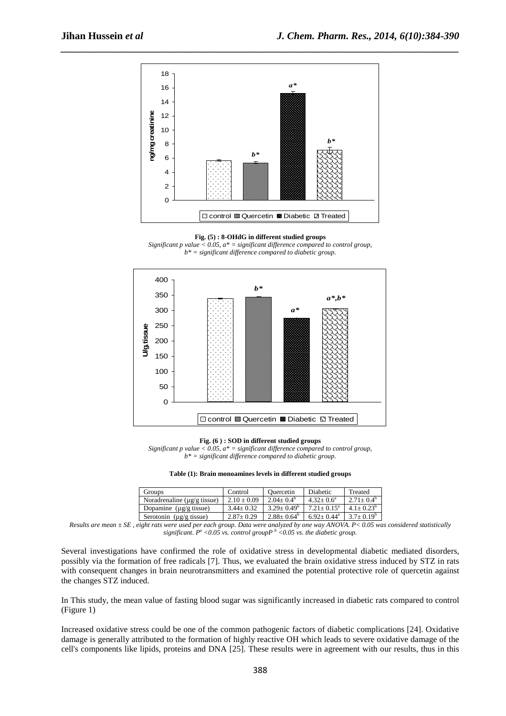

**Fig. (5) : 8-OHdG in different studied groups** 

*Significant p value < 0.05, a\* = significant difference compared to control group, b\* = significant difference compared to diabetic group.* 



**Fig. (6 ) : SOD in different studied groups** 

*Significant p value < 0.05, a\* = significant difference compared to control group, b\* = significant difference compared to diabetic group.* 

| Table (1): Brain monoamines levels in different studied groups |  |  |  |  |
|----------------------------------------------------------------|--|--|--|--|
|----------------------------------------------------------------|--|--|--|--|

| Groups                                                          | Control       | Ouercetin       | Diabetic               | Treated        |
|-----------------------------------------------------------------|---------------|-----------------|------------------------|----------------|
| Noradrenaline ( $\mu$ g/g tissue)                               | $2.10 + 0.09$ | $2.04 + 0.4^b$  | $4.32 \pm 0.6^{\circ}$ | $2.71 + 0.4^b$ |
| Dopamine $(\mu g/g)$ tissue)                                    | $3.44 + 0.32$ | $3.29 + 0.49^b$ | $7.21 + 0.15^a$        | $4.1 + 0.23^b$ |
| Serotonin ( $\mu$ g/g tissue)                                   | $2.87+0.29$   | $2.88 + 0.64^b$ | $6.92 + 0.44^a$        | $3.7+0.19^b$   |
| $\mathbf{r}$ and $\mathbf{r}$ and $\mathbf{r}$ and $\mathbf{r}$ |               |                 |                        | $\cdots$       |

*Results are mean ± SE , eight rats were used per each group. Data were analyzed by one way ANOVA. P< 0.05 was considered statistically significant.*  $P^a$  <0.05 vs. control group  $P^b$  <0.05 vs. the diabetic group.

Several investigations have confirmed the role of oxidative stress in developmental diabetic mediated disorders, possibly via the formation of free radicals [7]. Thus, we evaluated the brain oxidative stress induced by STZ in rats with consequent changes in brain neurotransmitters and examined the potential protective role of quercetin against the changes STZ induced.

In This study, the mean value of fasting blood sugar was significantly increased in diabetic rats compared to control (Figure 1)

Increased oxidative stress could be one of the common pathogenic factors of diabetic complications [24]. Oxidative damage is generally attributed to the formation of highly reactive OH which leads to severe oxidative damage of the cell's components like lipids, proteins and DNA [25]. These results were in agreement with our results, thus in this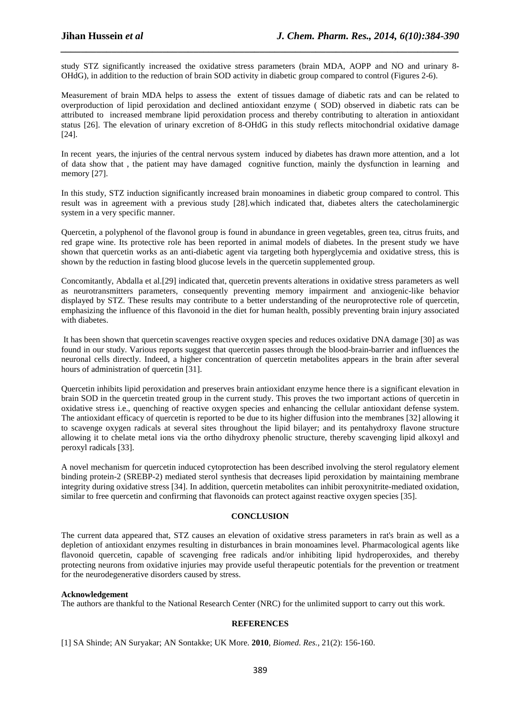study STZ significantly increased the oxidative stress parameters (brain MDA, AOPP and NO and urinary 8- OHdG), in addition to the reduction of brain SOD activity in diabetic group compared to control (Figures 2-6).

*\_\_\_\_\_\_\_\_\_\_\_\_\_\_\_\_\_\_\_\_\_\_\_\_\_\_\_\_\_\_\_\_\_\_\_\_\_\_\_\_\_\_\_\_\_\_\_\_\_\_\_\_\_\_\_\_\_\_\_\_\_\_\_\_\_\_\_\_\_\_\_\_\_\_\_\_\_\_*

Measurement of brain MDA helps to assess the extent of tissues damage of diabetic rats and can be related to overproduction of lipid peroxidation and declined antioxidant enzyme ( SOD) observed in diabetic rats can be attributed to increased membrane lipid peroxidation process and thereby contributing to alteration in antioxidant status [26]. The elevation of urinary excretion of 8-OHdG in this study reflects mitochondrial oxidative damage [24].

In recent years, the injuries of the central nervous system induced by diabetes has drawn more attention, and a lot of data show that , the patient may have damaged cognitive function, mainly the dysfunction in learning and memory [27].

In this study, STZ induction significantly increased brain monoamines in diabetic group compared to control. This result was in agreement with a previous study [28].which indicated that, diabetes alters the catecholaminergic system in a very specific manner.

Quercetin, a polyphenol of the flavonol group is found in abundance in green vegetables, green tea, citrus fruits, and red grape wine. Its protective role has been reported in animal models of diabetes. In the present study we have shown that quercetin works as an anti-diabetic agent via targeting both hyperglycemia and oxidative stress, this is shown by the reduction in fasting blood glucose levels in the quercetin supplemented group.

Concomitantly, Abdalla et al.[29] indicated that, quercetin prevents alterations in oxidative stress parameters as well as neurotransmitters parameters, consequently preventing memory impairment and anxiogenic-like behavior displayed by STZ. These results may contribute to a better understanding of the neuroprotective role of quercetin, emphasizing the influence of this flavonoid in the diet for human health, possibly preventing brain injury associated with diabetes.

 It has been shown that quercetin scavenges reactive oxygen species and reduces oxidative DNA damage [30] as was found in our study. Various reports suggest that quercetin passes through the blood-brain-barrier and influences the neuronal cells directly. Indeed, a higher concentration of quercetin metabolites appears in the brain after several hours of administration of quercetin [31].

Quercetin inhibits lipid peroxidation and preserves brain antioxidant enzyme hence there is a significant elevation in brain SOD in the quercetin treated group in the current study. This proves the two important actions of quercetin in oxidative stress i.e., quenching of reactive oxygen species and enhancing the cellular antioxidant defense system. The antioxidant efficacy of quercetin is reported to be due to its higher diffusion into the membranes [32] allowing it to scavenge oxygen radicals at several sites throughout the lipid bilayer; and its pentahydroxy flavone structure allowing it to chelate metal ions via the ortho dihydroxy phenolic structure, thereby scavenging lipid alkoxyl and peroxyl radicals [33].

A novel mechanism for quercetin induced cytoprotection has been described involving the sterol regulatory element binding protein-2 (SREBP-2) mediated sterol synthesis that decreases lipid peroxidation by maintaining membrane integrity during oxidative stress [34]. In addition, quercetin metabolites can inhibit peroxynitrite-mediated oxidation, similar to free quercetin and confirming that flavonoids can protect against reactive oxygen species [35].

## **CONCLUSION**

The current data appeared that, STZ causes an elevation of oxidative stress parameters in rat's brain as well as a depletion of antioxidant enzymes resulting in disturbances in brain monoamines level. Pharmacological agents like flavonoid quercetin, capable of scavenging free radicals and/or inhibiting lipid hydroperoxides, and thereby protecting neurons from oxidative injuries may provide useful therapeutic potentials for the prevention or treatment for the neurodegenerative disorders caused by stress.

## **Acknowledgement**

The authors are thankful to the National Research Center (NRC) for the unlimited support to carry out this work.

## **REFERENCES**

[1] SA Shinde; AN Suryakar; AN Sontakke; UK More. **2010**, *Biomed. Res.,* 21(2): 156-160.